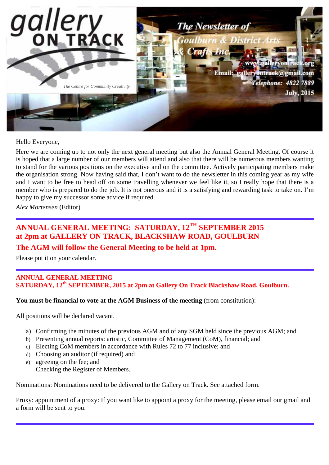

Hello Everyone,

Here we are coming up to not only the next general meeting but also the Annual General Meeting. Of course it is hoped that a large number of our members will attend and also that there will be numerous members wanting to stand for the various positions on the executive and on the committee. Actively participating members make the organisation strong. Now having said that, I don't want to do the newsletter in this coming year as my wife and I want to be free to head off on some travelling whenever we feel like it, so I really hope that there is a member who is prepared to do the job. It is not onerous and it is a satisfying and rewarding task to take on. I'm happy to give my successor some advice if required.

*Alex Mortensen* (Editor)

# **ANNUAL GENERAL MEETING: SATURDAY, 12TH SEPTEMBER 2015 at 2pm at GALLERY ON TRACK, BLACKSHAW ROAD, GOULBURN**

## **The AGM will follow the General Meeting to be held at 1pm.**

Please put it on your calendar.

### **ANNUAL GENERAL MEETING SATURDAY, 12th SEPTEMBER, 2015 at 2pm at Gallery On Track Blackshaw Road, Goulburn.**

### **You must be financial to vote at the AGM Business of the meeting** (from constitution):

All positions will be declared vacant.

- a) Confirming the minutes of the previous AGM and of any SGM held since the previous AGM; and
- b) Presenting annual reports: artistic, Committee of Management (CoM), financial; and
- c) Electing CoM members in accordance with Rules 72 to 77 inclusive; and
- d) Choosing an auditor (if required) and
- e) agreeing on the fee; and

Checking the Register of Members.

Nominations: Nominations need to be delivered to the Gallery on Track. See attached form.

Proxy: appointment of a proxy: If you want like to appoint a proxy for the meeting, please email our gmail and a form will be sent to you.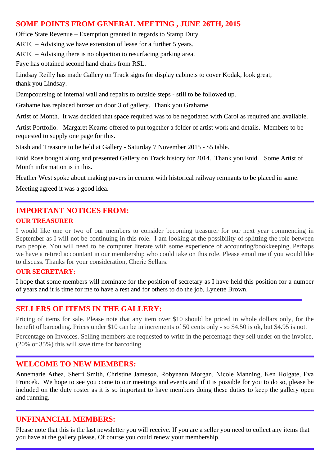## **SOME POINTS FROM GENERAL MEETING , JUNE 26TH, 2015**

Office State Revenue – Exemption granted in regards to Stamp Duty.

ARTC – Advising we have extension of lease for a further 5 years.

ARTC – Advising there is no objection to resurfacing parking area.

Faye has obtained second hand chairs from RSL.

Lindsay Reilly has made Gallery on Track signs for display cabinets to cover Kodak, look great, thank you Lindsay.

Dampcoursing of internal wall and repairs to outside steps - still to be followed up.

Grahame has replaced buzzer on door 3 of gallery. Thank you Grahame.

Artist of Month. It was decided that space required was to be negotiated with Carol as required and available.

Artist Portfolio. Margaret Kearns offered to put together a folder of artist work and details. Members to be requested to supply one page for this.

Stash and Treasure to be held at Gallery - Saturday 7 November 2015 - \$5 table.

Enid Rose bought along and presented Gallery on Track history for 2014. Thank you Enid. Some Artist of Month information is in this.

Heather West spoke about making pavers in cement with historical railway remnants to be placed in same.

Meeting agreed it was a good idea.

# **IMPORTANT NOTICES FROM:**

## **OUR TREASURER**

I would like one or two of our members to consider becoming treasurer for our next year commencing in September as I will not be continuing in this role. I am looking at the possibility of splitting the role between two people. You will need to be computer literate with some experience of accounting/bookkeeping. Perhaps we have a retired accountant in our membership who could take on this role. Please email me if you would like to discuss. Thanks for your consideration, Cherie Sellars.

## **OUR SECRETARY:**

I hope that some members will nominate for the position of secretary as I have held this position for a number of years and it is time for me to have a rest and for others to do the job, Lynette Brown.

## **SELLERS OF ITEMS IN THE GALLERY:**

Pricing of items for sale. Please note that any item over \$10 should be priced in whole dollars only, for the benefit of barcoding. Prices under \$10 can be in increments of 50 cents only - so \$4.50 is ok, but \$4.95 is not.

Percentage on Invoices. Selling members are requested to write in the percentage they sell under on the invoice, (20% or 35%) this will save time for barcoding.

## **WELCOME TO NEW MEMBERS:**

Annemarie Athea, Sherri Smith, Christine Jameson, Robynann Morgan, Nicole Manning, Ken Holgate, Eva Froncek. We hope to see you come to our meetings and events and if it is possible for you to do so, please be included on the duty roster as it is so important to have members doing these duties to keep the gallery open and running.

### **UNFINANCIAL MEMBERS:**

Please note that this is the last newsletter you will receive. If you are a seller you need to collect any items that you have at the gallery please. Of course you could renew your membership.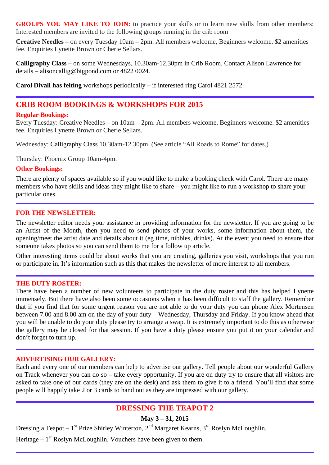GROUPS YOU MAY LIKE TO JOIN: to practice your skills or to learn new skills from other members: Interested members are invited to the following groups running in the crib room

**Creative Needles** – on every Tuesday 10am – 2pm. All members welcome, Beginners welcome. \$2 amenities fee. Enquiries Lynette Brown or Cherie Sellars.

**Calligraphy Class** – on some Wednesdays, 10.30am-12.30pm in Crib Room. Contact Alison Lawrence for details – alisoncallig@bigpond.com or 4822 0024.

**Carol Divall has felting** workshops periodically – if interested ring Carol 4821 2572.

## **CRIB ROOM BOOKINGS & WORKSHOPS FOR 2015**

### **Regular Bookings:**

Every Tuesday: Creative Needles – on 10am – 2pm. All members welcome, Beginners welcome. \$2 amenities fee. Enquiries Lynette Brown or Cherie Sellars.

Wednesday: Calligraphy Class 10.30am-12.30pm. (See article "All Roads to Rome" for dates.)

Thursday: Phoenix Group 10am-4pm.

#### **Other Bookings:**

There are plenty of spaces available so if you would like to make a booking check with Carol. There are many members who have skills and ideas they might like to share – you might like to run a workshop to share your particular ones.

### **FOR THE NEWSLETTER:**

The newsletter editor needs your assistance in providing information for the newsletter. If you are going to be an Artist of the Month, then you need to send photos of your works, some information about them, the opening/meet the artist date and details about it (eg time, nibbles, drinks). At the event you need to ensure that someone takes photos so you can send them to me for a follow up article.

Other interesting items could be about works that you are creating, galleries you visit, workshops that you run or participate in. It's information such as this that makes the newsletter of more interest to all members.

#### **THE DUTY ROSTER:**

There have been a number of new volunteers to participate in the duty roster and this has helped Lynette immensely. But there have also been some occasions when it has been difficult to staff the gallery. Remember that if you find that for some urgent reason you are not able to do your duty you can phone Alex Mortensen between 7.00 and 8.00 am on the day of your duty – Wednesday, Thursday and Friday. If you know ahead that you will be unable to do your duty please try to arrange a swap. It is extremely important to do this as otherwise the gallery may be closed for that session. If you have a duty please ensure you put it on your calendar and don't forget to turn up.

#### **ADVERTISING OUR GALLERY:**

Each and every one of our members can help to advertise our gallery. Tell people about our wonderful Gallery on Track whenever you can do so – take every opportunity. If you are on duty try to ensure that all visitors are asked to take one of our cards (they are on the desk) and ask them to give it to a friend. You'll find that some people will happily take 2 or 3 cards to hand out as they are impressed with our gallery.

## **DRESSING THE TEAPOT 2**

### **May 3 – 31, 2015**

Dressing a Teapot –  $1^{st}$  Prize Shirley Winterton,  $2^{nd}$  Margaret Kearns,  $3^{rd}$  Roslyn McLoughlin.

Heritage –  $1<sup>st</sup>$  Roslyn McLoughlin. Vouchers have been given to them.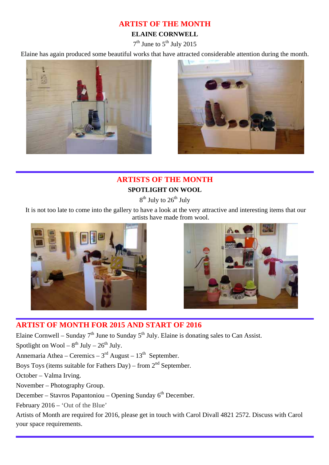## **ARTIST OF THE MONTH**

## **ELAINE CORNWELL**

 $7<sup>th</sup>$  June to  $5<sup>th</sup>$  July 2015

Elaine has again produced some beautiful works that have attracted considerable attention during the month.





# **ARTISTS OF THE MONTH SPOTLIGHT ON WOOL**

 $8<sup>th</sup>$  July to  $26<sup>th</sup>$  July

 It is not too late to come into the gallery to have a look at the very attractive and interesting items that our artists have made from wool.





## **ARTIST OF MONTH FOR 2015 AND START OF 2016**

Elaine Cornwell – Sunday  $7<sup>th</sup>$  June to Sunday  $5<sup>th</sup>$  July. Elaine is donating sales to Can Assist.

Spotlight on Wool –  $8^{th}$  July –  $26^{th}$  July.

Annemaria Athea – Ceremics –  $3<sup>rd</sup>$  August –  $13<sup>th</sup>$  September.

Boys Toys (items suitable for Fathers Day) – from  $2<sup>nd</sup>$  September.

October – Valma Irving.

November – Photography Group.

December – Stavros Papantoniou – Opening Sunday  $6<sup>th</sup>$  December.

February 2016 – 'Out of the Blue'

Artists of Month are required for 2016, please get in touch with Carol Divall 4821 2572. Discuss with Carol your space requirements.